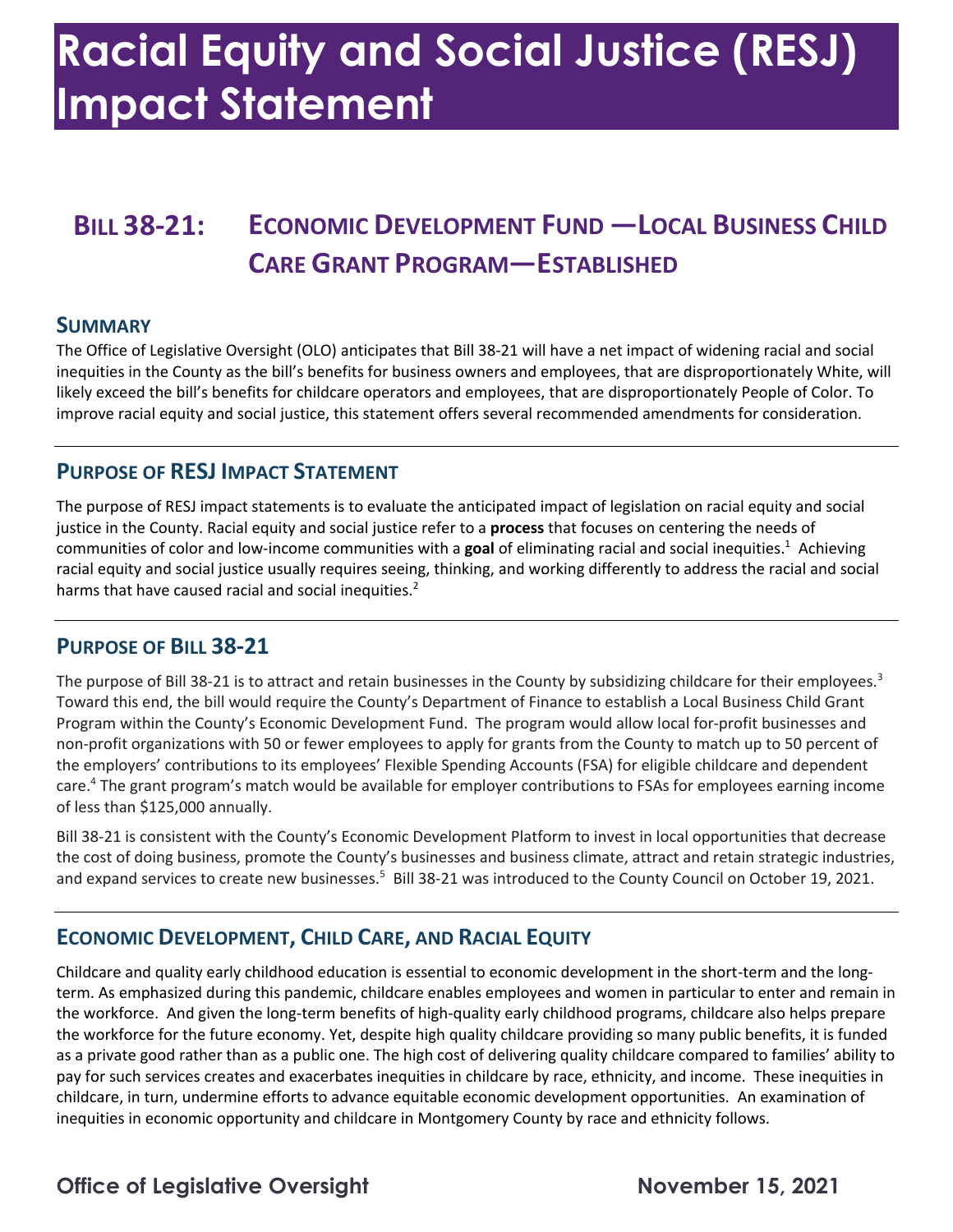### **Racial Equity and Social Justice (RESJ) Impact Statement**

### **BILL 38-21: ECONOMIC DEVELOPMENT FUND —LOCAL BUSINESS CHILD CARE GRANT PROGRAM—ESTABLISHED**

#### **SUMMARY**

 The Office of Legislative Oversight (OLO) anticipates that Bill 38-21 will have a net impact of widening racial and social likely exceed the bill's benefits for childcare operators and employees, that are disproportionately People of Color. To inequities in the County as the bill's benefits for business owners and employees, that are disproportionately White, will improve racial equity and social justice, this statement offers several recommended amendments for consideration.

#### **PURPOSE OF RESJ IMPACT STATEMENT**

 The purpose of RESJ impact statements is to evaluate the anticipated impact of legislation on racial equity and social justice in the County. Racial equity and social justice refer to a **process** that focuses on centering the needs of communities of color and low-income communities with a **goal** of eliminating racial and social inequities.1 Achieving racial equity and social justice usually requires seeing, thinking, and working differently to address the racial and social harms that have caused racial and social inequities. $2$ 

#### **PURPOSE OF BILL 38-21**

The purpose of Bill 38-21 is to attract and retain businesses in the County by subsidizing childcare for their employees.<sup>3</sup> Toward this end, the bill would require the County's Department of Finance to establish a Local Business Child Grant Program within the County's Economic Development Fund. The program would allow local for-profit businesses and the employers' contributions to its employees' Flexible Spending Accounts (FSA) for eligible childcare and dependent care.<sup>4</sup> The grant program's match would be available for employer contributions to FSAs for employees earning income non-profit organizations with 50 or fewer employees to apply for grants from the County to match up to 50 percent of of less than \$125,000 annually.

 the cost of doing business, promote the County's businesses and business climate, attract and retain strategic industries, and expand services to create new businesses.<sup>5</sup> Bill 38-21 was introduced to the County Council on October 19, 2021. Bill 38-21 is consistent with the County's Economic Development Platform to invest in local opportunities that decrease

#### **ECONOMIC DEVELOPMENT, CHILD CARE, AND RACIAL EQUITY**

 Childcare and quality early childhood education is essential to economic development in the short-term and the long- the workforce. And given the long-term benefits of high-quality early childhood programs, childcare also helps prepare the workforce for the future economy. Yet, despite high quality childcare providing so many public benefits, it is funded as a private good rather than as a public one. The high cost of delivering quality childcare compared to families' ability to pay for such services creates and exacerbates inequities in childcare by race, ethnicity, and income. These inequities in childcare, in turn, undermine efforts to advance equitable economic development opportunities. An examination of term. As emphasized during this pandemic, childcare enables employees and women in particular to enter and remain in inequities in economic opportunity and childcare in Montgomery County by race and ethnicity follows.

### **Office of Legislative Oversight November 15, 2021**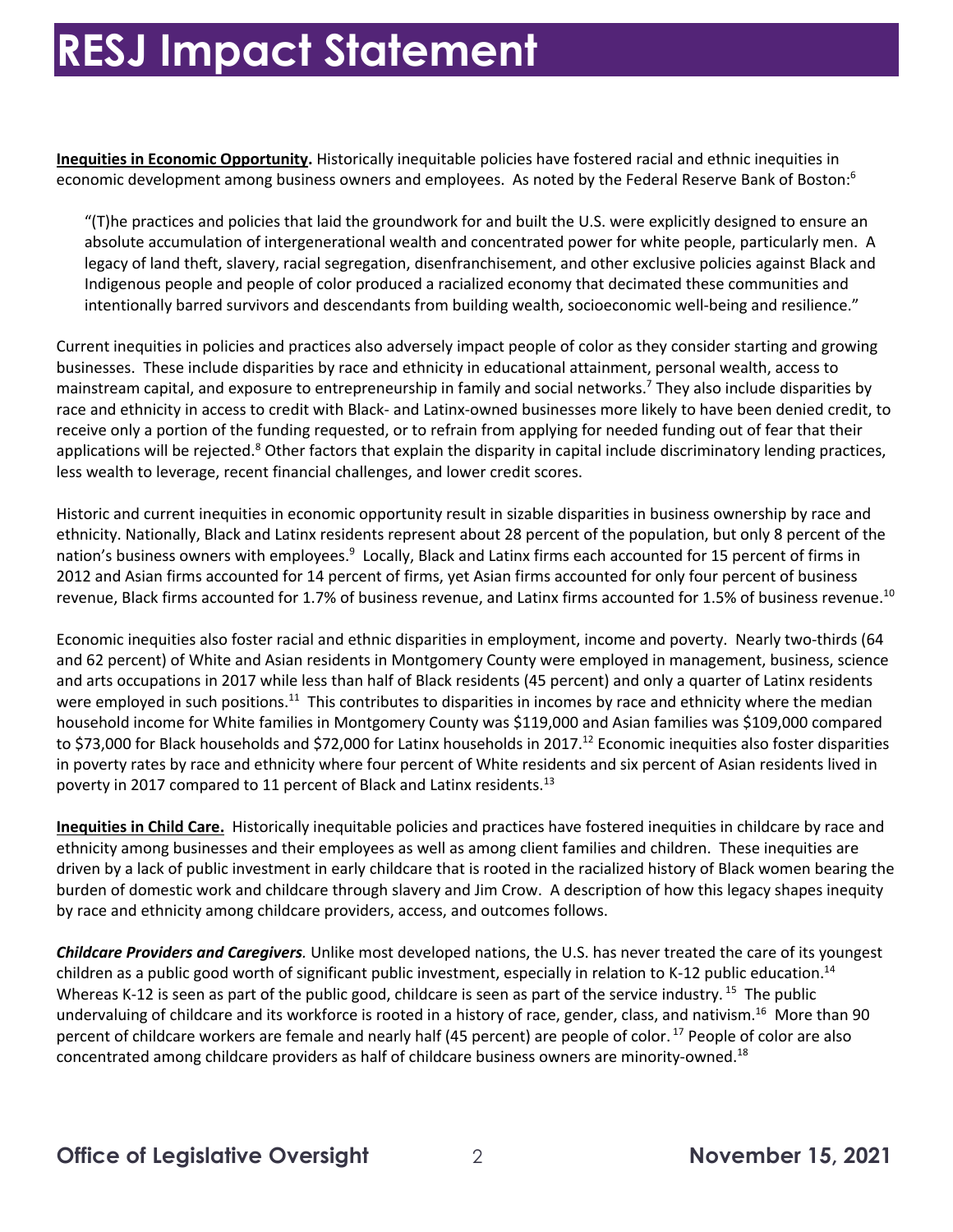economic development among business owners and employees. As noted by the Federal Reserve Bank of Boston:<sup>6</sup> **Inequities in Economic Opportunity.** Historically inequitable policies have fostered racial and ethnic inequities in

 "(T)he practices and policies that laid the groundwork for and built the U.S. were explicitly designed to ensure an absolute accumulation of intergenerational wealth and concentrated power for white people, particularly men. A legacy of land theft, slavery, racial segregation, disenfranchisement, and other exclusive policies against Black and Indigenous people and people of color produced a racialized economy that decimated these communities and intentionally barred survivors and descendants from building wealth, socioeconomic well-being and resilience."

 Current inequities in policies and practices also adversely impact people of color as they consider starting and growing businesses. These include disparities by race and ethnicity in educational attainment, personal wealth, access to mainstream capital, and exposure to entrepreneurship in family and social networks.<sup>7</sup> They also include disparities by race and ethnicity in access to credit with Black- and Latinx-owned businesses more likely to have been denied credit, to receive only a portion of the funding requested, or to refrain from applying for needed funding out of fear that their applications will be rejected.<sup>8</sup> Other factors that explain the disparity in capital include discriminatory lending practices, less wealth to leverage, recent financial challenges, and lower credit scores.

 Historic and current inequities in economic opportunity result in sizable disparities in business ownership by race and ethnicity. Nationally, Black and Latinx residents represent about 28 percent of the population, but only 8 percent of the nation's business owners with employees.<sup>9</sup> Locally, Black and Latinx firms each accounted for 15 percent of firms in 2012 and Asian firms accounted for 14 percent of firms, yet Asian firms accounted for only four percent of business revenue, Black firms accounted for 1.7% of business revenue, and Latinx firms accounted for 1.5% of business revenue.<sup>10</sup>

 Economic inequities also foster racial and ethnic disparities in employment, income and poverty. Nearly two-thirds (64 and 62 percent) of White and Asian residents in Montgomery County were employed in management, business, science were employed in such positions.<sup>11</sup> This contributes to disparities in incomes by race and ethnicity where the median household income for White families in Montgomery County was \$119,000 and Asian families was \$109,000 compared to \$73,000 for Black households and \$72,000 for Latinx households in 2017.<sup>12</sup> Economic inequities also foster disparities poverty in 2017 compared to 11 percent of Black and Latinx residents.<sup>13</sup> and arts occupations in 2017 while less than half of Black residents (45 percent) and only a quarter of Latinx residents in poverty rates by race and ethnicity where four percent of White residents and six percent of Asian residents lived in

 **Inequities in Child Care.** Historically inequitable policies and practices have fostered inequities in childcare by race and ethnicity among businesses and their employees as well as among client families and children. These inequities are driven by a lack of public investment in early childcare that is rooted in the racialized history of Black women bearing the burden of domestic work and childcare through slavery and Jim Crow. A description of how this legacy shapes inequity by race and ethnicity among childcare providers, access, and outcomes follows.

 *Childcare Providers and Caregivers.* Unlike most developed nations, the U.S. has never treated the care of its youngest Whereas K-12 is seen as part of the public good, childcare is seen as part of the service industry. <sup>15</sup> The public undervaluing of childcare and its workforce is rooted in a history of race, gender, class, and [nativism.](https://nativism.16)<sup>16</sup> More than 90 percent of childcare workers are female and nearly half (45 percent) are people of [color.](https://color.17)<sup>17</sup> People of color are also concentrated among childcare providers as half of childcare business owners are [minority-owned.](https://minority-owned.18) 18 children as a public good worth of significant public investment, especially in relation to K-12 public education.<sup>14</sup>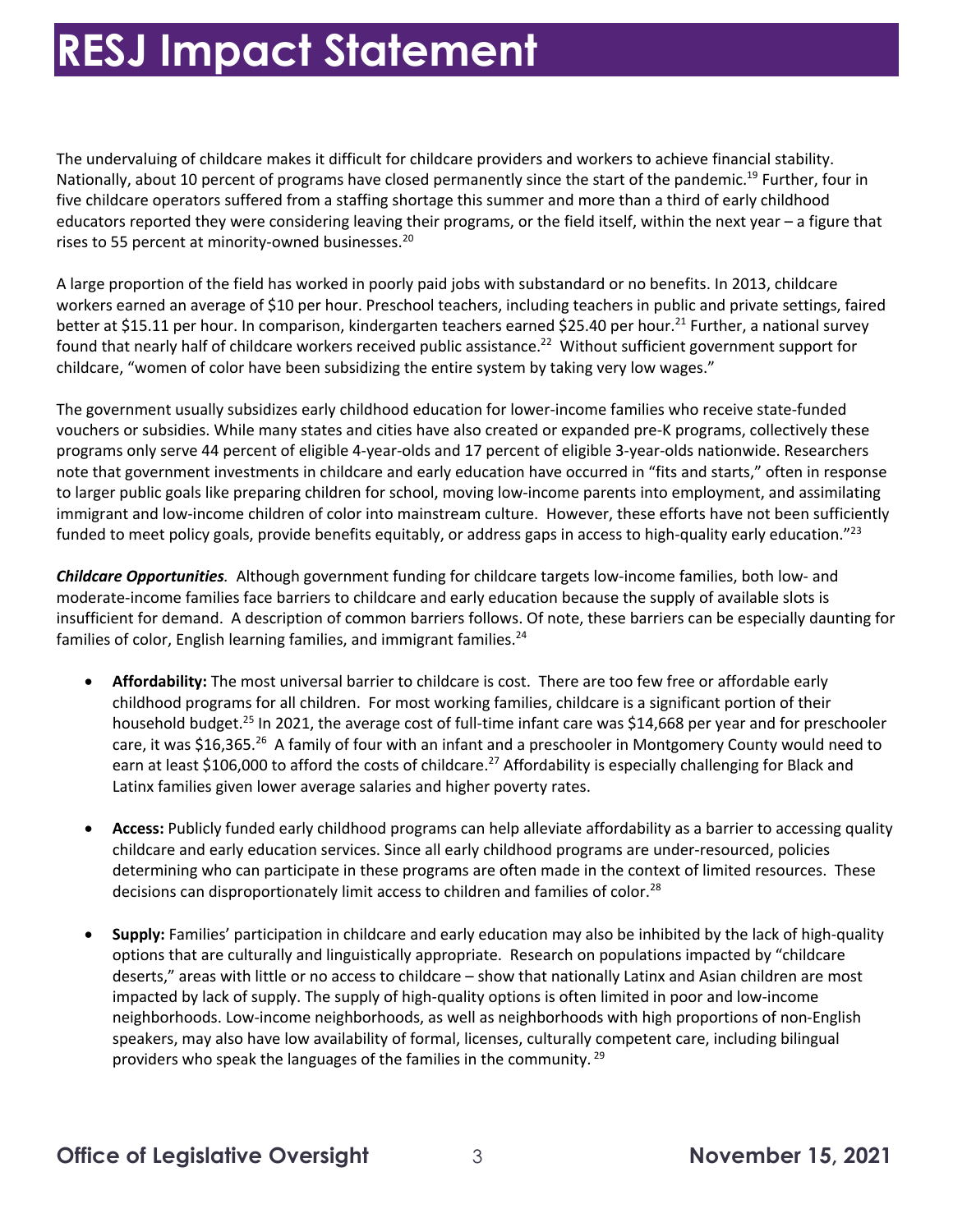The undervaluing of childcare makes it difficult for childcare providers and workers to achieve financial stability. Nationally, about 10 percent of programs have closed permanently since the start of the pandemic.<sup>19</sup> Further, four in five childcare operators suffered from a staffing shortage this summer and more than a third of early childhood rises to 55 percent at minority-owned businesses.<sup>20</sup> educators reported they were considering leaving their programs, or the field itself, within the next year – a figure that

 A large proportion of the field has worked in poorly paid jobs with substandard or no benefits. In 2013, childcare workers earned an average of \$10 per hour. Preschool teachers, including teachers in public and private settings, faired found that nearly half of childcare workers received public [assistance.](https://assistance.22)<sup>22</sup> Without sufficient government support for childcare, "women of color have been subsidizing the entire system by taking very low wages." better at \$15.11 per hour. In comparison, kindergarten teachers earned \$25.40 per hour.<sup>21</sup> Further, a national survey

 vouchers or subsidies. While many states and cities have also created or expanded pre-K programs, collectively these programs only serve 44 percent of eligible 4-year-olds and 17 percent of eligible 3-year-olds nationwide. Researchers to larger public goals like preparing children for school, moving low-income parents into employment, and assimilating funded to meet policy goals, provide benefits equitably, or address gaps in access to high-quality early education."<sup>23</sup> The government usually subsidizes early childhood education for lower-income families who receive state-funded note that government investments in childcare and early education have occurred in "fits and starts," often in response immigrant and low-income children of color into mainstream culture. However, these efforts have not been sufficiently

 *Childcare Opportunities.* Although government funding for childcare targets low-income families, both low- and moderate-income families face barriers to childcare and early education because the supply of available slots is insufficient for demand. A description of common barriers follows. Of note, these barriers can be especially daunting for families of color, English learning families, and immigrant [families.](https://families.24)<sup>24</sup>

- • **Affordability:** The most universal barrier to childcare is cost. There are too few free or affordable early childhood programs for all children. For most working families, childcare is a significant portion of their household budget.<sup>25</sup> In 2021, the average cost of full-time infant care was \$14,668 per year and for preschooler care, it was \$16,365.<sup>26</sup> A family of four with an infant and a preschooler in Montgomery County would need to earn at least \$106,000 to afford the costs of childcare.<sup>27</sup> Affordability is especially challenging for Black and Latinx families given lower average salaries and higher poverty rates.
- • **Access:** Publicly funded early childhood programs can help alleviate affordability as a barrier to accessing quality childcare and early education services. Since all early childhood programs are under-resourced, policies determining who can participate in these programs are often made in the context of limited resources. These decisions can disproportionately limit access to children and families of color.<sup>28</sup>
- • **Supply:** Families' participation in childcare and early education may also be inhibited by the lack of high-quality options that are culturally and linguistically appropriate. Research on populations impacted by "childcare impacted by lack of supply. The supply of high-quality options is often limited in poor and low-income speakers, may also have low availability of formal, licenses, culturally competent care, including bilingual providers who speak the languages of the families in the community.<sup>29</sup> deserts," areas with little or no access to childcare – show that nationally Latinx and Asian children are most neighborhoods. Low-income neighborhoods, as well as neighborhoods with high proportions of non-English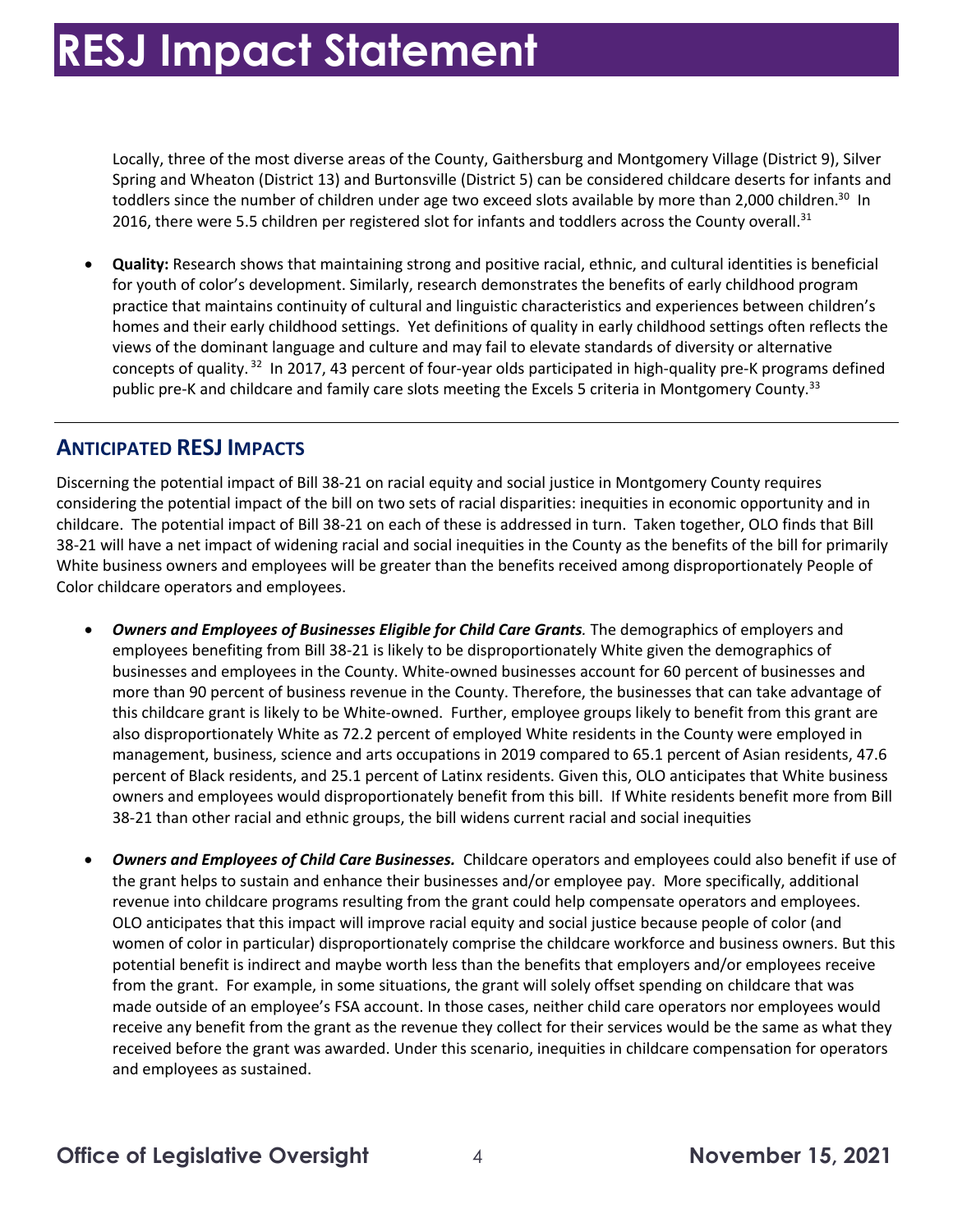Locally, three of the most diverse areas of the County, Gaithersburg and Montgomery Village (District 9), Silver Spring and Wheaton (District 13) and Burtonsville (District 5) can be considered childcare deserts for infants and toddlers since the number of children under age two exceed slots available by more than 2,000 children.<sup>30</sup> In 2016, there were 5.5 children per registered slot for infants and toddlers across the County [overall.](https://overall.31)<sup>31</sup>

 • **Quality:** Research shows that maintaining strong and positive racial, ethnic, and cultural identities is beneficial for youth of color's development. Similarly, research demonstrates the benefits of early childhood program practice that maintains continuity of cultural and linguistic characteristics and experiences between children's homes and their early childhood settings. Yet definitions of quality in early childhood settings often reflects the views of the dominant language and culture and may fail to elevate standards of diversity or alternative concepts of quality.<sup>32</sup> In 2017, 43 percent of four-year olds participated in high-quality pre-K programs defined public pre-K and childcare and family care slots meeting the Excels 5 criteria in Montgomery County.<sup>33</sup>

### **ANTICIPATED RESJ IMPACTS**

 Discerning the potential impact of Bill 38-21 on racial equity and social justice in Montgomery County requires considering the potential impact of the bill on two sets of racial disparities: inequities in economic opportunity and in childcare. The potential impact of Bill 38-21 on each of these is addressed in turn. Taken together, OLO finds that Bill 38-21 will have a net impact of widening racial and social inequities in the County as the benefits of the bill for primarily White business owners and employees will be greater than the benefits received among disproportionately People of Color childcare operators and employees.

- *Owners and Employees of Businesses Eligible for Child Care Grants.* The demographics of employers and employees benefiting from Bill 38-21 is likely to be disproportionately White given the demographics of businesses and employees in the County. White-owned businesses account for 60 percent of businesses and more than 90 percent of business revenue in the County. Therefore, the businesses that can take advantage of this childcare grant is likely to be White-owned. Further, employee groups likely to benefit from this grant are management, business, science and arts occupations in 2019 compared to 65.1 percent of Asian residents, 47.6 percent of Black residents, and 25.1 percent of Latinx residents. Given this, OLO anticipates that White business owners and employees would disproportionately benefit from this bill. If White residents benefit more from Bill 38-21 than other racial and ethnic groups, the bill widens current racial and social inequities also disproportionately White as 72.2 percent of employed White residents in the County were employed in
- *Owners and Employees of Child Care Businesses.* Childcare operators and employees could also benefit if use of revenue into childcare programs resulting from the grant could help compensate operators and employees. OLO anticipates that this impact will improve racial equity and social justice because people of color (and women of color in particular) disproportionately comprise the childcare workforce and business owners. But this from the grant. For example, in some situations, the grant will solely offset spending on childcare that was made outside of an employee's FSA account. In those cases, neither child care operators nor employees would receive any benefit from the grant as the revenue they collect for their services would be the same as what they received before the grant was awarded. Under this scenario, inequities in childcare compensation for operators and employees as sustained. the grant helps to sustain and enhance their businesses and/or employee pay. More specifically, additional potential benefit is indirect and maybe worth less than the benefits that employers and/or employees receive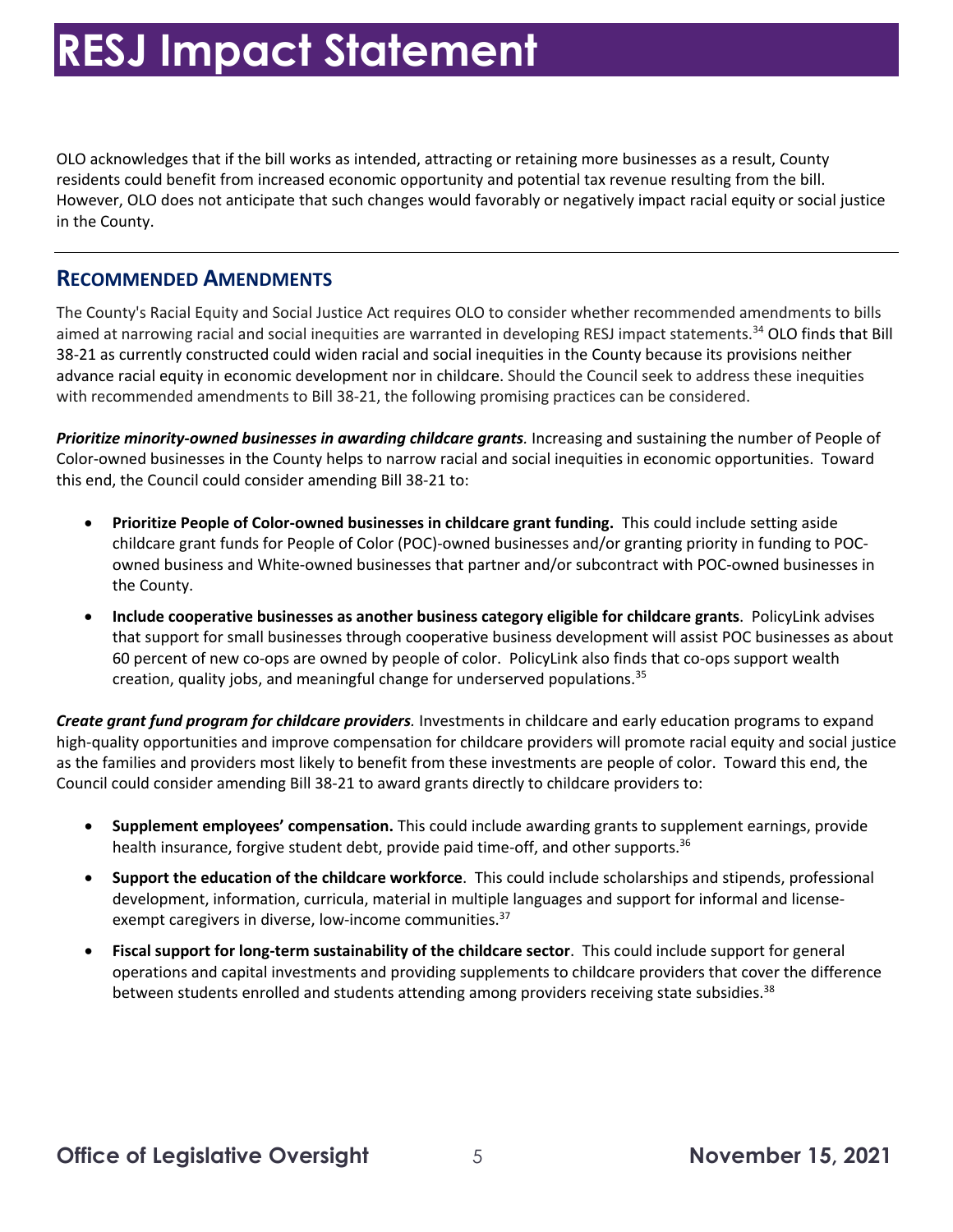OLO acknowledges that if the bill works as intended, attracting or retaining more businesses as a result, County residents could benefit from increased economic opportunity and potential tax revenue resulting from the bill. However, OLO does not anticipate that such changes would favorably or negatively impact racial equity or social justice in the County.

#### **RECOMMENDED AMENDMENTS**

 The County's Racial Equity and Social Justice Act requires OLO to consider whether recommended amendments to bills aimed at narrowing racial and social inequities are warranted in developing RESJ impact statements.<sup>34</sup> OLO finds that Bill 38-21 as currently constructed could widen racial and social inequities in the County because its provisions neither advance racial equity in economic development nor in childcare. Should the Council seek to address these inequities with recommended amendments to Bill 38-21, the following promising practices can be considered.

 *Prioritize minority-owned businesses in awarding childcare grants.* Increasing and sustaining the number of People of Color-owned businesses in the County helps to narrow racial and social inequities in economic opportunities. Toward this end, the Council could consider amending Bill 38-21 to:

- • **Prioritize People of Color-owned businesses in childcare grant funding.** This could include setting aside childcare grant funds for People of Color (POC)-owned businesses and/or granting priority in funding to POCowned business and White-owned businesses that partner and/or subcontract with POC-owned businesses in the County.
- **Include cooperative businesses as another business category eligible for childcare grants**. PolicyLink advises that support for small businesses through cooperative business development will assist POC businesses as about 60 percent of new co-ops are owned by people of color. PolicyLink also finds that co-ops support wealth creation, quality jobs, and meaningful change for underserved [populations.](https://populations.35) 35

 *Create grant fund program for childcare providers.* Investments in childcare and early education programs to expand high-quality opportunities and improve compensation for childcare providers will promote racial equity and social justice as the families and providers most likely to benefit from these investments are people of color. Toward this end, the Council could consider amending Bill 38-21 to award grants directly to childcare providers to:

- • **Supplement employees' compensation.** This could include awarding grants to supplement earnings, provide health insurance, forgive student debt, provide paid time-off, and other supports.<sup>36</sup>
- **Support the education of the childcare workforce**. This could include scholarships and stipends, professional development, information, curricula, material in multiple languages and support for informal and licenseexempt caregivers in diverse, low-income communities.<sup>37</sup>
- **Fiscal support for long-term sustainability of the childcare sector**. This could include support for general operations and capital investments and providing supplements to childcare providers that cover the difference between students enrolled and students attending among providers receiving state subsidies.<sup>38</sup>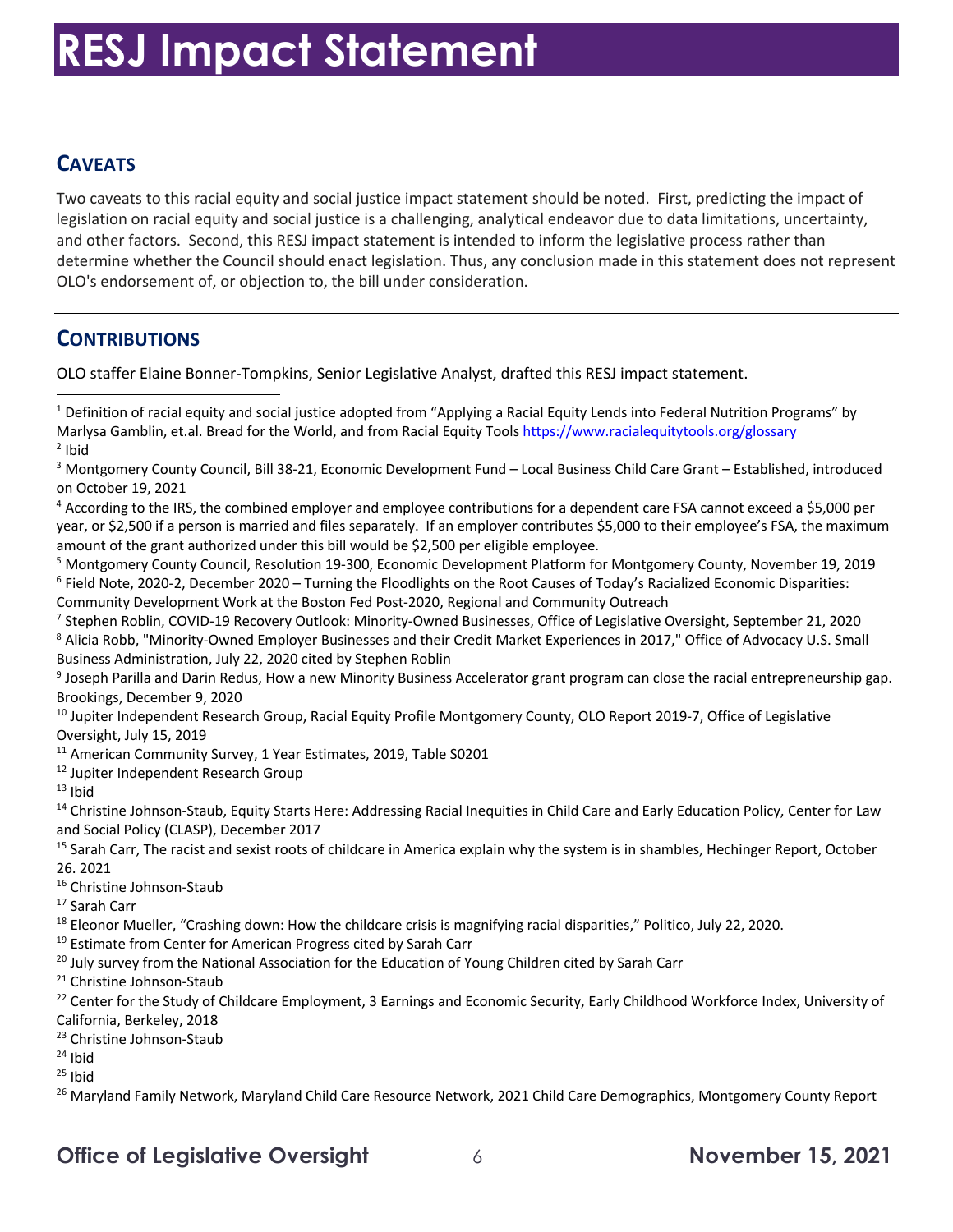### **CAVEATS**

 Two caveats to this racial equity and social justice impact statement should be noted. First, predicting the impact of and other factors. Second, this RESJ impact statement is intended to inform the legislative process rather than determine whether the Council should enact legislation. Thus, any conclusion made in this statement does not represent OLO's endorsement of, or objection to, the bill under consideration. legislation on racial equity and social justice is a challenging, analytical endeavor due to data limitations, uncertainty,

### **CONTRIBUTIONS**

OLO staffer Elaine Bonner-Tompkins, Senior Legislative Analyst, drafted this RESJ impact statement.

Brookings, December 9, 2020<br><sup>10</sup> Jupiter Independent Research Group, Racial Equity Profile Montgomery County, OLO Report 2019-7, Office of Legislative Oversight, July 15, 2019

<sup>11</sup> American Community Survey, 1 Year Estimates, 2019, Table S0201

- 
- $13$  Ibid

<sup>11</sup> American Community Survey, 1 Year Estimates, 2019, Table S0201<br><sup>12</sup> Jupiter Independent Research Group<br><sup>13</sup> Ibid<br><sup>14</sup> Christine Johnson-Staub, Equity Starts Here: Addressing Racial Inequities in Child Care and Early E and Social Policy (CLASP), December 2017

<sup>15</sup> Sarah Carr, The racist and sexist roots of childcare in America explain why the system is in shambles, Hechinger Report, October 26. 2021

<sup>18</sup> Eleonor Mueller, "Crashing down: How the childcare crisis is magnifying racial disparities," Politico, July 22, 2020.

<sup>19</sup> Estimate from Center for American Progress cited by Sarah Carr

<sup>20</sup> July survey from the National Association for the Education of Young Children cited by Sarah Carr

<sup>16</sup> Christine Johnson-Staub<br><sup>17</sup> Sarah Carr<br><sup>18</sup> Eleonor Mueller, "Crashing down: How the childcare crisis is magnifying racial disparities," Politico, July 22, 2020.<br><sup>19</sup> Estimate from Center for American Progress cited California, Berkeley, 2018

 $24$  Ihid

 $25$  Ibid

<sup>23</sup> Christine Johnson-Staub<br><sup>24</sup> Ibid<br><sup>25</sup> Ibid<br><sup>26</sup> Maryland Family Network, Maryland Child Care Resource Network, 2021 Child Care Demographics, Montgomery County Report

### **Office of Legislative Oversight**  $\qquad \qquad 6$  **November 15, 2021**

 $1$  Definition of racial equity and social justice adopted from "Applying a Racial Equity Lends into Federal Nutrition Programs" by Marlysa Gamblin, et.al. Bread for the World, and from Racial Equity Tools <u>https://www.racialequitytools.org/glossary</u><br><sup>2</sup> Ibid  $2$  Ibid

<sup>&</sup>lt;sup>3</sup> Montgomery County Council, Bill 38-21, Economic Development Fund – Local Business Child Care Grant – Established, introduced on October 19, 2021

<sup>&</sup>lt;sup>4</sup> According to the IRS, the combined employer and employee contributions for a dependent care FSA cannot exceed a \$5,000 per year, or \$2,500 if a person is married and files separately. If an employer contributes \$5,000 to their employee's FSA, the maximum amount of the grant authorized under this bill would be \$2,500 per eligible employee.

<sup>&</sup>lt;sup>5</sup> Montgomery County Council, Resolution 19-300, Economic Development Platform for Montgomery County, November 19, 2019<br><sup>6</sup> Field Note, 2020-2, December 2020 – Turning the Floodlights on the Root Causes of Today's Raciali <sup>6</sup> Field Note, 2020-2, December 2020 – Turning the Floodlights on the Root Causes of Today's Racialized Economic Disparities: Community Development Work at the Boston Fed Post-2020, Regional and Community Outreach

<sup>&</sup>lt;sup>7</sup> Stephen Roblin, COVID-19 Recovery Outlook: Minority-Owned Businesses, Office of Legislative Oversight, September 21, 2020 Community Development Work at the Boston Fed Post-2020, Regional and Community Outreach<br><sup>7</sup> Stephen Roblin, COVID-19 Recovery Outlook: Minority-Owned Businesses, Office of Legislative Oversight, September 21, 2020<br><sup>8</sup> Alic Business Administration, July 22, 2020 cited by Stephen Roblin

Business Administration, July 22, 2020 cited by Stephen Roblin<br><sup>9</sup> Joseph Parilla and Darin Redus, How a new Minority Business Accelerator grant program can close the racial entrepreneurship gap.